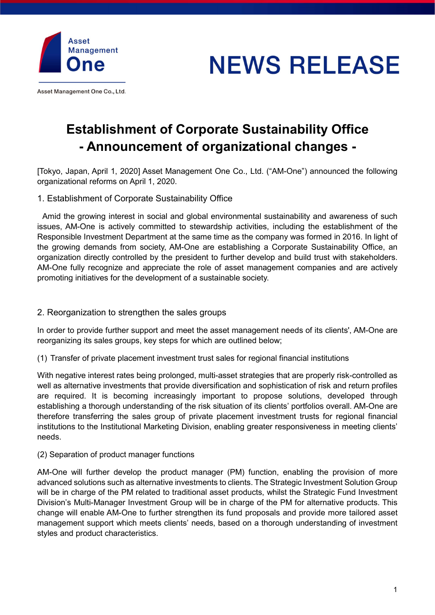

**NEWS RELEASE** 

Asset Management One Co., Ltd.

# Establishment of Corporate Sustainability Office - Announcement of organizational changes -

[Tokyo, Japan, April 1, 2020] Asset Management One Co., Ltd. ("AM-One") announced the following organizational reforms on April 1, 2020.

1. Establishment of Corporate Sustainability Office

Amid the growing interest in social and global environmental sustainability and awareness of such issues, AM-One is actively committed to stewardship activities, including the establishment of the Responsible Investment Department at the same time as the company was formed in 2016. In light of the growing demands from society, AM-One are establishing a Corporate Sustainability Office, an organization directly controlled by the president to further develop and build trust with stakeholders. AM-One fully recognize and appreciate the role of asset management companies and are actively promoting initiatives for the development of a sustainable society.

### 2. Reorganization to strengthen the sales groups

In order to provide further support and meet the asset management needs of its clients', AM-One are reorganizing its sales groups, key steps for which are outlined below;

(1) Transfer of private placement investment trust sales for regional financial institutions

With negative interest rates being prolonged, multi-asset strategies that are properly risk-controlled as well as alternative investments that provide diversification and sophistication of risk and return profiles are required. It is becoming increasingly important to propose solutions, developed through establishing a thorough understanding of the risk situation of its clients' portfolios overall. AM-One are therefore transferring the sales group of private placement investment trusts for regional financial institutions to the Institutional Marketing Division, enabling greater responsiveness in meeting clients' needs.

#### (2) Separation of product manager functions

AM-One will further develop the product manager (PM) function, enabling the provision of more advanced solutions such as alternative investments to clients. The Strategic Investment Solution Group will be in charge of the PM related to traditional asset products, whilst the Strategic Fund Investment Division's Multi-Manager Investment Group will be in charge of the PM for alternative products. This change will enable AM-One to further strengthen its fund proposals and provide more tailored asset management support which meets clients' needs, based on a thorough understanding of investment styles and product characteristics.